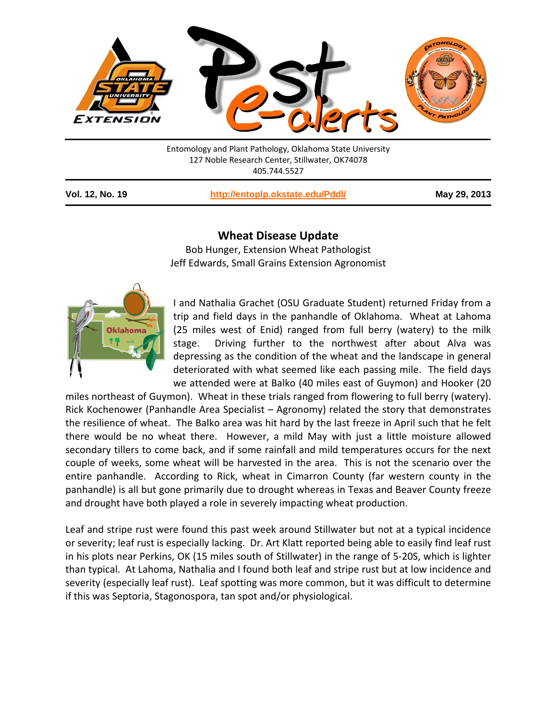

| Entomology and Plant Pathology, Oklahoma State University |  |
|-----------------------------------------------------------|--|
| 127 Noble Research Center, Stillwater, OK74078            |  |
| 405.744.5527                                              |  |
|                                                           |  |

**Vol. 12, No. 19 <http://entoplp.okstate.edu/Pddl/> May 29, 2013**

## **Wheat Disease Update**

Bob Hunger, Extension Wheat Pathologist Jeff Edwards, Small Grains Extension Agronomist



I and Nathalia Grachet (OSU Graduate Student) returned Friday from a trip and field days in the panhandle of Oklahoma. Wheat at Lahoma (25 miles west of Enid) ranged from full berry (watery) to the milk stage. Driving further to the northwest after about Alva was depressing as the condition of the wheat and the landscape in general deteriorated with what seemed like each passing mile. The field days we attended were at Balko (40 miles east of Guymon) and Hooker (20

miles northeast of Guymon). Wheat in these trials ranged from flowering to full berry (watery). Rick Kochenower (Panhandle Area Specialist – Agronomy) related the story that demonstrates the resilience of wheat. The Balko area was hit hard by the last freeze in April such that he felt there would be no wheat there. However, a mild May with just a little moisture allowed secondary tillers to come back, and if some rainfall and mild temperatures occurs for the next couple of weeks, some wheat will be harvested in the area. This is not the scenario over the entire panhandle. According to Rick, wheat in Cimarron County (far western county in the panhandle) is all but gone primarily due to drought whereas in Texas and Beaver County freeze and drought have both played a role in severely impacting wheat production.

Leaf and stripe rust were found this past week around Stillwater but not at a typical incidence or severity; leaf rust is especially lacking. Dr. Art Klatt reported being able to easily find leaf rust in his plots near Perkins, OK (15 miles south of Stillwater) in the range of 5-20S, which is lighter than typical. At Lahoma, Nathalia and I found both leaf and stripe rust but at low incidence and severity (especially leaf rust). Leaf spotting was more common, but it was difficult to determine if this was Septoria, Stagonospora, tan spot and/or physiological.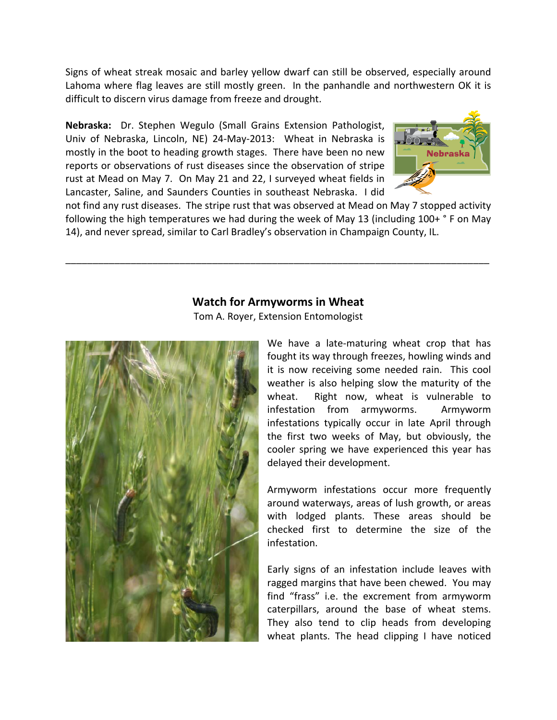Signs of wheat streak mosaic and barley yellow dwarf can still be observed, especially around Lahoma where flag leaves are still mostly green. In the panhandle and northwestern OK it is difficult to discern virus damage from freeze and drought.

**Nebraska:** Dr. Stephen Wegulo (Small Grains Extension Pathologist, Univ of Nebraska, Lincoln, NE) 24-May-2013: Wheat in Nebraska is mostly in the boot to heading growth stages. There have been no new reports or observations of rust diseases since the observation of stripe rust at Mead on May 7. On May 21 and 22, I surveyed wheat fields in Lancaster, Saline, and Saunders Counties in southeast Nebraska. I did



not find any rust diseases. The stripe rust that was observed at Mead on May 7 stopped activity following the high temperatures we had during the week of May 13 (including 100+ ° F on May 14), and never spread, similar to Carl Bradley's observation in Champaign County, IL.

\_\_\_\_\_\_\_\_\_\_\_\_\_\_\_\_\_\_\_\_\_\_\_\_\_\_\_\_\_\_\_\_\_\_\_\_\_\_\_\_\_\_\_\_\_\_\_\_\_\_\_\_\_\_\_\_\_\_\_\_\_\_\_\_\_\_\_\_\_\_\_\_\_\_\_\_\_\_

## **Watch for Armyworms in Wheat**

Tom A. Royer, Extension Entomologist



We have a late-maturing wheat crop that has fought its way through freezes, howling winds and it is now receiving some needed rain. This cool weather is also helping slow the maturity of the wheat. Right now, wheat is vulnerable to infestation from armyworms. Armyworm infestations typically occur in late April through the first two weeks of May, but obviously, the cooler spring we have experienced this year has delayed their development.

Armyworm infestations occur more frequently around waterways, areas of lush growth, or areas with lodged plants. These areas should be checked first to determine the size of the infestation.

Early signs of an infestation include leaves with ragged margins that have been chewed. You may find "frass" i.e. the excrement from armyworm caterpillars, around the base of wheat stems. They also tend to clip heads from developing wheat plants. The head clipping I have noticed